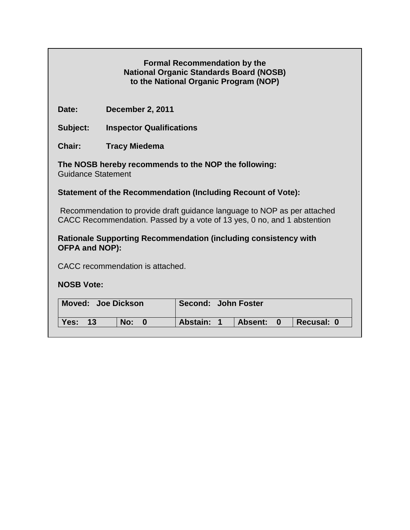| <b>Formal Recommendation by the</b>            |
|------------------------------------------------|
| <b>National Organic Standards Board (NOSB)</b> |
| to the National Organic Program (NOP)          |

**Date: December 2, 2011**

**Subject: Inspector Qualifications** 

**Chair: Tracy Miedema**

**The NOSB hereby recommends to the NOP the following:**  Guidance Statement

## **Statement of the Recommendation (Including Recount of Vote):**

Recommendation to provide draft guidance language to NOP as per attached CACC Recommendation. Passed by a vote of 13 yes, 0 no, and 1 abstention

#### **Rationale Supporting Recommendation (including consistency with OFPA and NOP):**

CACC recommendation is attached.

### **NOSB Vote:**

| Moved: Joe Dickson |       |     | Second: John Foster |            |  |                |                         |            |
|--------------------|-------|-----|---------------------|------------|--|----------------|-------------------------|------------|
| Yes:               | $-13$ | No: |                     | Abstain: 1 |  | <b>Absent:</b> | $\overline{\mathbf{0}}$ | Recusal: 0 |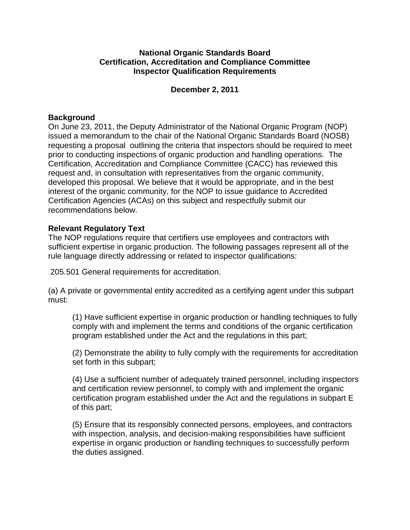### **National Organic Standards Board Certification, Accreditation and Compliance Committee Inspector Qualification Requirements**

#### **December 2, 2011**

#### **Background**

On June 23, 2011, the Deputy Administrator of the National Organic Program (NOP) issued a memorandum to the chair of the National Organic Standards Board (NOSB) requesting a proposal outlining the criteria that inspectors should be required to meet prior to conducting inspections of organic production and handling operations. The Certification, Accreditation and Compliance Committee (CACC) has reviewed this request and, in consultation with representatives from the organic community, developed this proposal. We believe that it would be appropriate, and in the best interest of the organic community, for the NOP to issue guidance to Accredited Certification Agencies (ACAs) on this subject and respectfully submit our recommendations below.

### **Relevant Regulatory Text**

The NOP regulations require that certifiers use employees and contractors with sufficient expertise in organic production. The following passages represent all of the rule language directly addressing or related to inspector qualifications:

205.501 General requirements for accreditation.

(a) A private or governmental entity accredited as a certifying agent under this subpart must:

(1) Have sufficient expertise in organic production or handling techniques to fully comply with and implement the terms and conditions of the organic certification program established under the Act and the regulations in this part;

(2) Demonstrate the ability to fully comply with the requirements for accreditation set forth in this subpart;

(4) Use a sufficient number of adequately trained personnel, including inspectors and certification review personnel, to comply with and implement the organic certification program established under the Act and the regulations in subpart E of this part;

(5) Ensure that its responsibly connected persons, employees, and contractors with inspection, analysis, and decision-making responsibilities have sufficient expertise in organic production or handling techniques to successfully perform the duties assigned.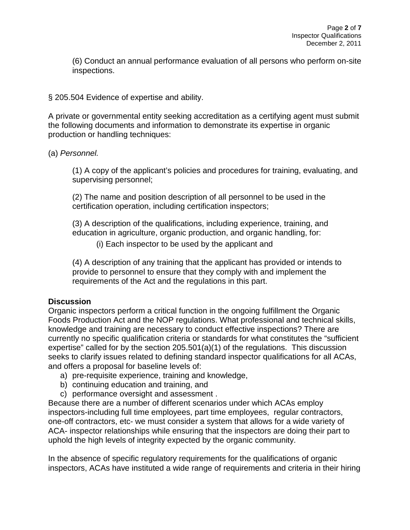(6) Conduct an annual performance evaluation of all persons who perform on-site inspections.

§ 205.504 Evidence of expertise and ability.

A private or governmental entity seeking accreditation as a certifying agent must submit the following documents and information to demonstrate its expertise in organic production or handling techniques:

(a) *Personnel.*

(1) A copy of the applicant's policies and procedures for training, evaluating, and supervising personnel;

(2) The name and position description of all personnel to be used in the certification operation, including certification inspectors;

(3) A description of the qualifications, including experience, training, and education in agriculture, organic production, and organic handling, for:

(i) Each inspector to be used by the applicant and

(4) A description of any training that the applicant has provided or intends to provide to personnel to ensure that they comply with and implement the requirements of the Act and the regulations in this part.

### **Discussion**

Organic inspectors perform a critical function in the ongoing fulfillment the Organic Foods Production Act and the NOP regulations. What professional and technical skills, knowledge and training are necessary to conduct effective inspections? There are currently no specific qualification criteria or standards for what constitutes the "sufficient expertise" called for by the section 205.501(a)(1) of the regulations. This discussion seeks to clarify issues related to defining standard inspector qualifications for all ACAs, and offers a proposal for baseline levels of:

- a) pre-requisite experience, training and knowledge,
- b) continuing education and training, and
- c) performance oversight and assessment .

Because there are a number of different scenarios under which ACAs employ inspectors-including full time employees, part time employees, regular contractors, one-off contractors, etc- we must consider a system that allows for a wide variety of ACA- inspector relationships while ensuring that the inspectors are doing their part to uphold the high levels of integrity expected by the organic community.

In the absence of specific regulatory requirements for the qualifications of organic inspectors, ACAs have instituted a wide range of requirements and criteria in their hiring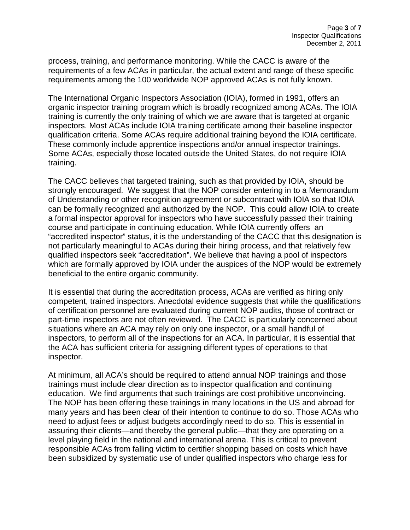process, training, and performance monitoring. While the CACC is aware of the requirements of a few ACAs in particular, the actual extent and range of these specific requirements among the 100 worldwide NOP approved ACAs is not fully known.

The International Organic Inspectors Association (IOIA), formed in 1991, offers an organic inspector training program which is broadly recognized among ACAs. The IOIA training is currently the only training of which we are aware that is targeted at organic inspectors. Most ACAs include IOIA training certificate among their baseline inspector qualification criteria. Some ACAs require additional training beyond the IOIA certificate. These commonly include apprentice inspections and/or annual inspector trainings. Some ACAs, especially those located outside the United States, do not require IOIA training.

The CACC believes that targeted training, such as that provided by IOIA, should be strongly encouraged. We suggest that the NOP consider entering in to a Memorandum of Understanding or other recognition agreement or subcontract with IOIA so that IOIA can be formally recognized and authorized by the NOP. This could allow IOIA to create a formal inspector approval for inspectors who have successfully passed their training course and participate in continuing education. While IOIA currently offers an "accredited inspector" status, it is the understanding of the CACC that this designation is not particularly meaningful to ACAs during their hiring process, and that relatively few qualified inspectors seek "accreditation". We believe that having a pool of inspectors which are formally approved by IOIA under the auspices of the NOP would be extremely beneficial to the entire organic community.

It is essential that during the accreditation process, ACAs are verified as hiring only competent, trained inspectors. Anecdotal evidence suggests that while the qualifications of certification personnel are evaluated during current NOP audits, those of contract or part-time inspectors are not often reviewed. The CACC is particularly concerned about situations where an ACA may rely on only one inspector, or a small handful of inspectors, to perform all of the inspections for an ACA. In particular, it is essential that the ACA has sufficient criteria for assigning different types of operations to that inspector.

At minimum, all ACA's should be required to attend annual NOP trainings and those trainings must include clear direction as to inspector qualification and continuing education. We find arguments that such trainings are cost prohibitive unconvincing. The NOP has been offering these trainings in many locations in the US and abroad for many years and has been clear of their intention to continue to do so. Those ACAs who need to adjust fees or adjust budgets accordingly need to do so. This is essential in assuring their clients—and thereby the general public—that they are operating on a level playing field in the national and international arena. This is critical to prevent responsible ACAs from falling victim to certifier shopping based on costs which have been subsidized by systematic use of under qualified inspectors who charge less for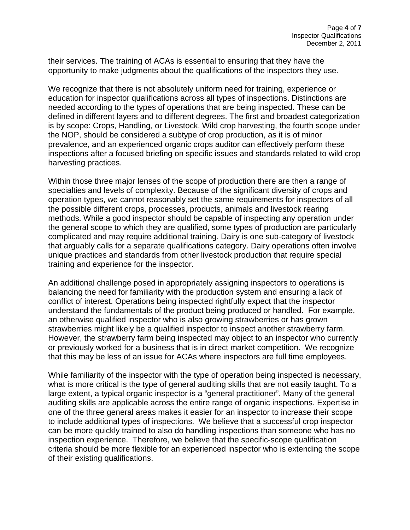their services. The training of ACAs is essential to ensuring that they have the opportunity to make judgments about the qualifications of the inspectors they use.

We recognize that there is not absolutely uniform need for training, experience or education for inspector qualifications across all types of inspections. Distinctions are needed according to the types of operations that are being inspected. These can be defined in different layers and to different degrees. The first and broadest categorization is by scope: Crops, Handling, or Livestock. Wild crop harvesting, the fourth scope under the NOP, should be considered a subtype of crop production, as it is of minor prevalence, and an experienced organic crops auditor can effectively perform these inspections after a focused briefing on specific issues and standards related to wild crop harvesting practices.

Within those three major lenses of the scope of production there are then a range of specialties and levels of complexity. Because of the significant diversity of crops and operation types, we cannot reasonably set the same requirements for inspectors of all the possible different crops, processes, products, animals and livestock rearing methods. While a good inspector should be capable of inspecting any operation under the general scope to which they are qualified, some types of production are particularly complicated and may require additional training. Dairy is one sub-category of livestock that arguably calls for a separate qualifications category. Dairy operations often involve unique practices and standards from other livestock production that require special training and experience for the inspector.

An additional challenge posed in appropriately assigning inspectors to operations is balancing the need for familiarity with the production system and ensuring a lack of conflict of interest. Operations being inspected rightfully expect that the inspector understand the fundamentals of the product being produced or handled. For example, an otherwise qualified inspector who is also growing strawberries or has grown strawberries might likely be a qualified inspector to inspect another strawberry farm. However, the strawberry farm being inspected may object to an inspector who currently or previously worked for a business that is in direct market competition. We recognize that this may be less of an issue for ACAs where inspectors are full time employees.

While familiarity of the inspector with the type of operation being inspected is necessary, what is more critical is the type of general auditing skills that are not easily taught. To a large extent, a typical organic inspector is a "general practitioner". Many of the general auditing skills are applicable across the entire range of organic inspections. Expertise in one of the three general areas makes it easier for an inspector to increase their scope to include additional types of inspections. We believe that a successful crop inspector can be more quickly trained to also do handling inspections than someone who has no inspection experience. Therefore, we believe that the specific-scope qualification criteria should be more flexible for an experienced inspector who is extending the scope of their existing qualifications.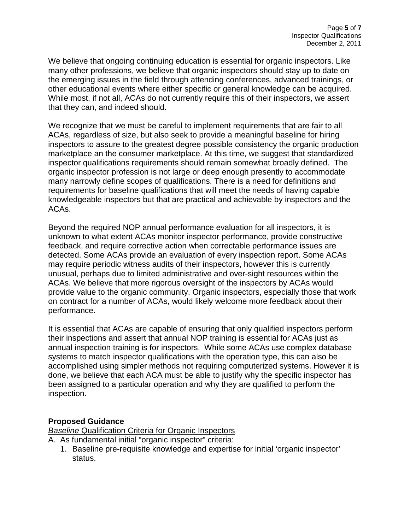We believe that ongoing continuing education is essential for organic inspectors. Like many other professions, we believe that organic inspectors should stay up to date on the emerging issues in the field through attending conferences, advanced trainings, or other educational events where either specific or general knowledge can be acquired. While most, if not all, ACAs do not currently require this of their inspectors, we assert that they can, and indeed should.

We recognize that we must be careful to implement requirements that are fair to all ACAs, regardless of size, but also seek to provide a meaningful baseline for hiring inspectors to assure to the greatest degree possible consistency the organic production marketplace an the consumer marketplace. At this time, we suggest that standardized inspector qualifications requirements should remain somewhat broadly defined. The organic inspector profession is not large or deep enough presently to accommodate many narrowly define scopes of qualifications. There is a need for definitions and requirements for baseline qualifications that will meet the needs of having capable knowledgeable inspectors but that are practical and achievable by inspectors and the ACAs.

Beyond the required NOP annual performance evaluation for all inspectors, it is unknown to what extent ACAs monitor inspector performance, provide constructive feedback, and require corrective action when correctable performance issues are detected. Some ACAs provide an evaluation of every inspection report. Some ACAs may require periodic witness audits of their inspectors, however this is currently unusual, perhaps due to limited administrative and over-sight resources within the ACAs. We believe that more rigorous oversight of the inspectors by ACAs would provide value to the organic community. Organic inspectors, especially those that work on contract for a number of ACAs, would likely welcome more feedback about their performance.

It is essential that ACAs are capable of ensuring that only qualified inspectors perform their inspections and assert that annual NOP training is essential for ACAs just as annual inspection training is for inspectors. While some ACAs use complex database systems to match inspector qualifications with the operation type, this can also be accomplished using simpler methods not requiring computerized systems. However it is done, we believe that each ACA must be able to justify why the specific inspector has been assigned to a particular operation and why they are qualified to perform the inspection.

### **Proposed Guidance**

**Baseline Qualification Criteria for Organic Inspectors** 

- A. As fundamental initial "organic inspector" criteria:
	- 1. Baseline pre-requisite knowledge and expertise for initial 'organic inspector' status.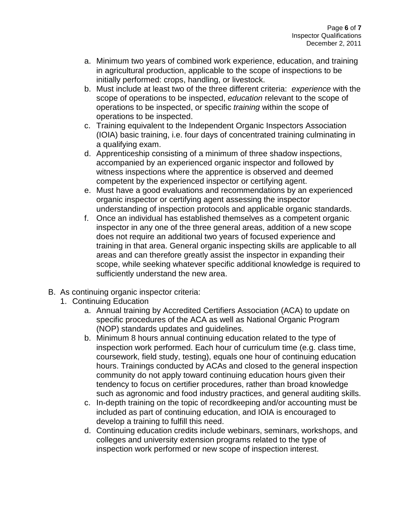- a. Minimum two years of combined work experience, education, and training in agricultural production, applicable to the scope of inspections to be initially performed: crops, handling, or livestock.
- b. Must include at least two of the three different criteria: *experience* with the scope of operations to be inspected, *education* relevant to the scope of operations to be inspected, or specific *training* within the scope of operations to be inspected.
- c. Training equivalent to the Independent Organic Inspectors Association (IOIA) basic training, i.e. four days of concentrated training culminating in a qualifying exam.
- d. Apprenticeship consisting of a minimum of three shadow inspections, accompanied by an experienced organic inspector and followed by witness inspections where the apprentice is observed and deemed competent by the experienced inspector or certifying agent.
- e. Must have a good evaluations and recommendations by an experienced organic inspector or certifying agent assessing the inspector understanding of inspection protocols and applicable organic standards.
- f. Once an individual has established themselves as a competent organic inspector in any one of the three general areas, addition of a new scope does not require an additional two years of focused experience and training in that area. General organic inspecting skills are applicable to all areas and can therefore greatly assist the inspector in expanding their scope, while seeking whatever specific additional knowledge is required to sufficiently understand the new area.
- B. As continuing organic inspector criteria:
	- 1. Continuing Education
		- a. Annual training by Accredited Certifiers Association (ACA) to update on specific procedures of the ACA as well as National Organic Program (NOP) standards updates and guidelines.
		- b. Minimum 8 hours annual continuing education related to the type of inspection work performed. Each hour of curriculum time (e.g. class time, coursework, field study, testing), equals one hour of continuing education hours. Trainings conducted by ACAs and closed to the general inspection community do not apply toward continuing education hours given their tendency to focus on certifier procedures, rather than broad knowledge such as agronomic and food industry practices, and general auditing skills.
		- c. In-depth training on the topic of recordkeeping and/or accounting must be included as part of continuing education, and IOIA is encouraged to develop a training to fulfill this need.
		- d. Continuing education credits include webinars, seminars, workshops, and colleges and university extension programs related to the type of inspection work performed or new scope of inspection interest.